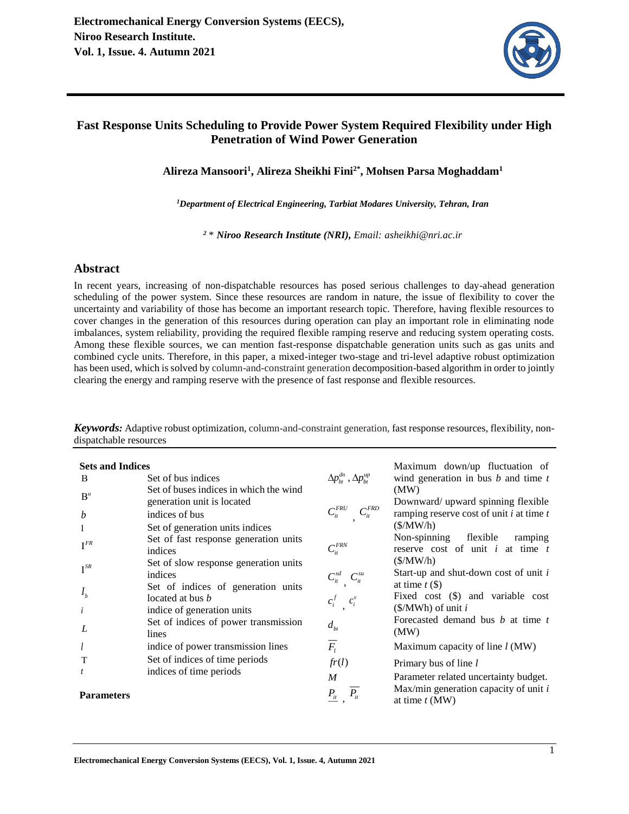

# **Fast Response Units Scheduling to Provide Power System Required Flexibility under High Penetration of Wind Power Generation**

**Alireza Mansoori<sup>1</sup> , Alireza Sheikhi Fini2\* , Mohsen Parsa Moghaddam<sup>1</sup>**

*<sup>1</sup>Department of Electrical Engineering, Tarbiat Modares University, Tehran, Iran* 

*<sup>2</sup>* \* *Niroo Research Institute (NRI), Email: asheikhi@nri.ac.ir*

## **Abstract**

In recent years, increasing of non-dispatchable resources has posed serious challenges to day-ahead generation scheduling of the power system. Since these resources are random in nature, the issue of flexibility to cover the uncertainty and variability of those has become an important research topic. Therefore, having flexible resources to cover changes in the generation of this resources during operation can play an important role in eliminating node imbalances, system reliability, providing the required flexible ramping reserve and reducing system operating costs. Among these flexible sources, we can mention fast-response dispatchable generation units such as gas units and combined cycle units. Therefore, in this paper, a mixed-integer two-stage and tri-level adaptive robust optimization has been used, which is solved by column-and-constraint generation decomposition-based algorithm in order to jointly clearing the energy and ramping reserve with the presence of fast response and flexible resources.

| <b>Sets and Indices</b> |                                                                             |                                             | Maximum down/up fluctuation of                                           |
|-------------------------|-----------------------------------------------------------------------------|---------------------------------------------|--------------------------------------------------------------------------|
| B                       | Set of bus indices                                                          | $\Delta p_{bt}^{dn}$ , $\Delta p_{bt}^{up}$ | wind generation in bus $b$ and time $t$                                  |
| $B^u$                   | Set of buses indices in which the wind<br>generation unit is located        |                                             | (MW)<br>Downward/ upward spinning flexible                               |
| b                       | indices of bus                                                              | $C_{it}^{FRD}$<br>$C_{ii}^{FRU}$            | ramping reserve cost of unit $i$ at time $t$                             |
|                         | Set of generation units indices                                             |                                             | (S/MW/h)                                                                 |
| $I^{FR}$                | Set of fast response generation units<br>indices                            | $C_{it}^{\textit{FRN}}$                     | Non-spinning flexible<br>ramping<br>reserve cost of unit $i$ at time $t$ |
| $I^{SR}$                | Set of slow response generation units<br>indices                            | $C_{it}^{sd}$ ,<br>$C_{it}^{su}$            | (S/MW/h)<br>Start-up and shut-down cost of unit i<br>at time $t$ (\$)    |
| I <sub>b</sub>          | Set of indices of generation units<br>located at bus <i>b</i>               | $c_i^f$<br>$c_i^v$                          | Fixed cost (\$) and variable cost<br>$(\frac{S}{MWh})$ of unit i         |
|                         | indice of generation units<br>Set of indices of power transmission<br>lines | $d_{ht}$                                    | Forecasted demand bus <i>b</i> at time <i>t</i><br>(MW)                  |
|                         | indice of power transmission lines                                          | $\overline{F_i}$                            | Maximum capacity of line $l$ (MW)                                        |
| T                       | Set of indices of time periods                                              | fr(l)                                       | Primary bus of line l                                                    |
|                         | indices of time periods                                                     | $\boldsymbol{M}$                            | Parameter related uncertainty budget.                                    |
| <b>Parameters</b>       |                                                                             | $P_{\underline{it}}$                        | Max/min generation capacity of unit $i$<br>at time $t$ (MW)              |

*Keywords:* Adaptive robust optimization, column-and-constraint generation, fast response resources, flexibility, nondispatchable resources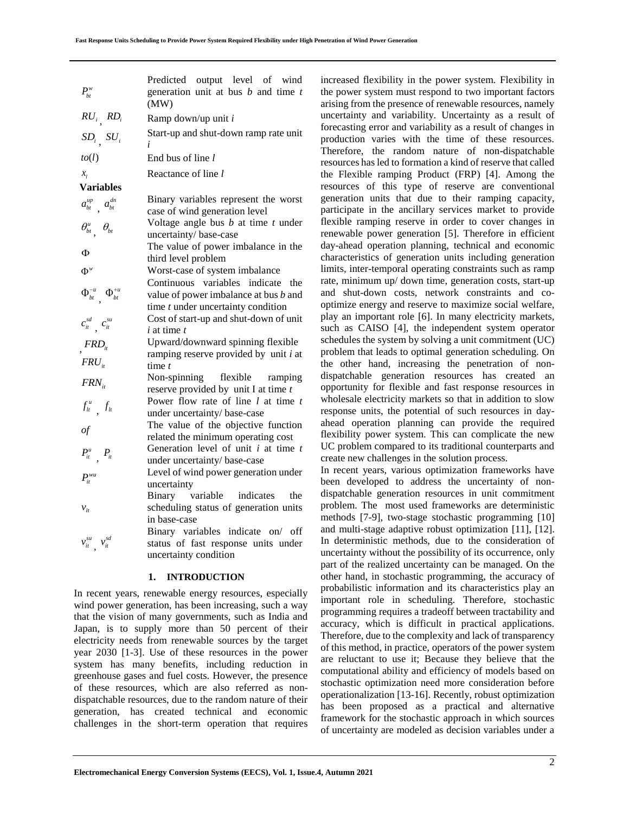| $P_{bt}^w$                          | Predicted output level of wind<br>generation unit at bus $b$ and time $t$<br>(MW)                                     | increased fle<br>the power sy<br>arising from |
|-------------------------------------|-----------------------------------------------------------------------------------------------------------------------|-----------------------------------------------|
| $RU_i$ , $RD_i$                     | Ramp down/up unit i                                                                                                   | uncertainty a                                 |
| $SD_i$ , $SU_i$                     | Start-up and shut-down ramp rate unit<br>i                                                                            | forecasting e<br>production ·                 |
| to(l)                               | End bus of line l                                                                                                     | Therefore,<br>resources has                   |
| $x_i$                               | Reactance of line l                                                                                                   | the Flexible                                  |
| <b>Variables</b>                    |                                                                                                                       | resources of                                  |
| $a_{bt}^{up}$ , $a_{bt}^{dn}$       | Binary variables represent the worst<br>case of wind generation level                                                 | generation u<br>participate in                |
| $\theta_{bt}^u$ $\theta_{bt}$       | Voltage angle bus $b$ at time $t$ under<br>uncertainty/base-case                                                      | flexible ram<br>renewable p                   |
| Φ                                   | The value of power imbalance in the                                                                                   | day-ahead o<br>characteristic                 |
| $\Phi^w$                            | third level problem<br>Worst-case of system imbalance                                                                 | limits, inter-t                               |
| $\Phi_{bt}^{-u}$ , $\Phi_{bt}^{+u}$ | Continuous variables indicate<br>the<br>value of power imbalance at bus b and<br>time $t$ under uncertainty condition | rate, minimu<br>and shut-do<br>optimize ene   |
| $c_{it}^{sd}$ $c_{it}^{su}$         | Cost of start-up and shut-down of unit<br>$i$ at time $t$                                                             | play an impo<br>such as CA                    |
| $FRD_{it}$                          | Upward/downward spinning flexible                                                                                     | schedules the                                 |
| $FRU_{it}$                          | ramping reserve provided by unit $i$ at<br>time $t$                                                                   | problem that<br>the other h                   |
|                                     | Non-spinning flexible ramping                                                                                         | dispatchable                                  |
| $FRN_{it}$                          | reserve provided by unit I at time $t$                                                                                | opportunity                                   |
| $f_{lt}^u$ , $f_{lt}$               | Power flow rate of line $l$ at time $t$<br>under uncertainty/ base-case                                               | wholesale el<br>response uni                  |
|                                     | The value of the objective function                                                                                   | ahead opera                                   |
| of                                  | related the minimum operating cost                                                                                    | flexibility po                                |
| $P_{it}^u$ , $P_{it}$               | Generation level of unit $i$ at time $t$                                                                              | UC problem                                    |
|                                     | under uncertainty/ base-case                                                                                          | create new cl<br>In recent ye                 |
| $P_{it}^{wu}$                       | Level of wind power generation under<br>uncertainty                                                                   | been develo                                   |
|                                     | Binary variable indicates<br>the                                                                                      | dispatchable                                  |
| $v_{it}$                            | scheduling status of generation units<br>in base-case                                                                 | problem. Th<br>methods [7-9]                  |
|                                     | Binary variables indicate on/ off                                                                                     | and multi-sta                                 |
| $v_{it}^{su}$ , $v_{it}^{sd}$       | status of fast response units under                                                                                   | In determini<br>uncertainty v                 |
|                                     | uncertainty condition                                                                                                 | part of the re                                |
|                                     | 1.<br><b>INTRODUCTION</b>                                                                                             | other hand, i                                 |
|                                     | In recent years, renewable energy resources, especially<br>wind power generation, has been increasing, such a way     | probabilistic<br>important re                 |
|                                     | that the vision of many governments, such as India and                                                                | programming<br>accuracy, w                    |
|                                     | Japan, is to supply more than 50 percent of their                                                                     | Therefore, du                                 |
|                                     | electricity needs from renewable sources by the target<br>year 2030 [1-3]. Use of these resources in the power        | of this metho                                 |
|                                     | system has many benefits, including reduction in                                                                      | are reluctant                                 |
|                                     | greenhouse gases and fuel costs. However, the presence                                                                | computation                                   |
|                                     | of these resources, which are also referred as non-                                                                   | stochastic op<br>operationaliz                |
|                                     | dispatchable resources, due to the random nature of their                                                             | has been p                                    |
|                                     | generation, has created technical and economic                                                                        | framework f                                   |
|                                     | challenges in the short-term operation that requires                                                                  | of uncertaint                                 |
|                                     |                                                                                                                       |                                               |
|                                     | Electromechanical Energy Conversion Systems (EECS), Vol. 1, Issue.4, Autumn 2021                                      |                                               |

## **1. INTRODUCTION**

increased flexibility in the power system. Flexibility in the power system must respond to two important factors arising from the presence of renewable resources, namely uncertainty and variability. Uncertainty as a result of forecasting error and variability as a result of changes in production varies with the time of these resources. Therefore, the random nature of non-dispatchable resources has led to formation a kind of reserve that called the Flexible ramping Product (FRP) [4]. Among the resources of this type of reserve are conventional generation units that due to their ramping capacity, participate in the ancillary services market to provide flexible ramping reserve in order to cover changes in renewable power generation [5]. Therefore in efficient day-ahead operation planning, technical and economic characteristics of generation units including generation limits, inter-temporal operating constraints such as ramp rate, minimum up/ down time, generation costs, start-up and shut-down costs, network constraints and cooptimize energy and reserve to maximize social welfare, play an important role [6]. In many electricity markets, such as CAISO [4], the independent system operator schedules the system by solving a unit commitment (UC) problem that leads to optimal generation scheduling. On the other hand, increasing the penetration of nondispatchable generation resources has created an opportunity for flexible and fast response resources in wholesale electricity markets so that in addition to slow response units, the potential of such resources in dayahead operation planning can provide the required flexibility power system. This can complicate the new UC problem compared to its traditional counterparts and create new challenges in the solution process.

In recent years, various optimization frameworks have been developed to address the uncertainty of nondispatchable generation resources in unit commitment problem. The most used frameworks are deterministic methods [7-9], two-stage stochastic programming [10] and multi-stage adaptive robust optimization [11], [12]. In deterministic methods, due to the consideration of uncertainty without the possibility of its occurrence, only part of the realized uncertainty can be managed. On the other hand, in stochastic programming, the accuracy of probabilistic information and its characteristics play an important role in scheduling. Therefore, stochastic programming requires a tradeoff between tractability and accuracy, which is difficult in practical applications. Therefore, due to the complexity and lack of transparency of this method, in practice, operators of the power system are reluctant to use it; Because they believe that the computational ability and efficiency of models based on stochastic optimization need more consideration before operationalization [13-16]. Recently, robust optimization has been proposed as a practical and alternative framework for the stochastic approach in which sources of uncertainty are modeled as decision variables under a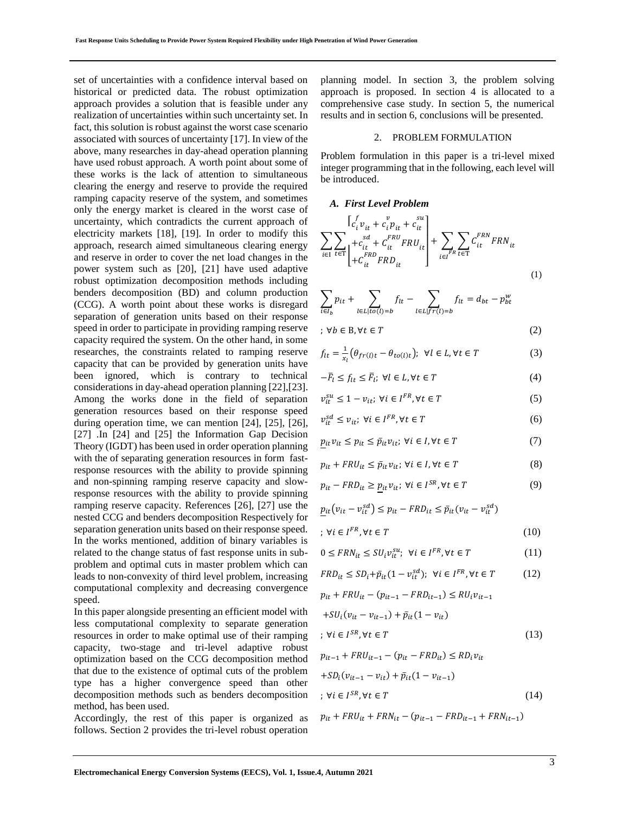set of uncertainties with a confidence interval based on historical or predicted data. The robust optimization approach provides a solution that is feasible under any realization of uncertainties within such uncertainty set. In fact, this solution is robust against the worst case scenario associated with sources of uncertainty [17]. In view of the above, many researches in day-ahead operation planning have used robust approach. A worth point about some of these works is the lack of attention to simultaneous clearing the energy and reserve to provide the required ramping capacity reserve of the system, and sometimes only the energy market is cleared in the worst case of uncertainty, which contradicts the current approach of electricity markets [18], [19]. In order to modify this approach, research aimed simultaneous clearing energy and reserve in order to cover the net load changes in the power system such as [20], [21] have used adaptive robust optimization decomposition methods including benders decomposition (BD) and column production (CCG). A worth point about these works is disregard separation of generation units based on their response speed in order to participate in providing ramping reserve capacity required the system. On the other hand, in some researches, the constraints related to ramping reserve capacity that can be provided by generation units have been ignored, which is contrary to technical considerations in day-ahead operation planning [22],[23]. Among the works done in the field of separation generation resources based on their response speed during operation time, we can mention [24], [25], [26], [27] .In [24] and [25] the Information Gap Decision Theory (IGDT) has been used in order operation planning with the of separating generation resources in form fastresponse resources with the ability to provide spinning and non-spinning ramping reserve capacity and slowresponse resources with the ability to provide spinning ramping reserve capacity. References [26], [27] use the nested CCG and benders decomposition Respectively for separation generation units based on their response speed. In the works mentioned, addition of binary variables is related to the change status of fast response units in subproblem and optimal cuts in master problem which can leads to non-convexity of third level problem, increasing computational complexity and decreasing convergence speed.

In this paper alongside presenting an efficient model with less computational complexity to separate generation resources in order to make optimal use of their ramping capacity, two-stage and tri-level adaptive robust optimization based on the CCG decomposition method that due to the existence of optimal cuts of the problem type has a higher convergence speed than other decomposition methods such as benders decomposition method, has been used.

Accordingly, the rest of this paper is organized as follows. Section 2 provides the tri-level robust operation

planning model. In section 3, the problem solving approach is proposed. In section 4 is allocated to a comprehensive case study. In section 5, the numerical results and in section 6, conclusions will be presented.

#### 2. PROBLEM FORMULATION

Problem formulation in this paper is a tri-level mixed integer programming that in the following, each level will be introduced.

*A. First Level Problem* 

$$
\sum_{i\in I} \sum_{t\in T} \begin{bmatrix} c_i^f v_{it} + c_i^v p_{it} + c_{it}^{su} \\ + c_{it}^{su} + c_{it}^{FRU} FRU_{it} \\ + c_{it}^{FRD} FRD_{it} \end{bmatrix} + \sum_{i\in I^{FR}} \sum_{t\in T} C_{it}^{FRN} FRN_{it}
$$
\n(1)

$$
\sum_{i \in I_b} p_{it} + \sum_{l \in L \mid to(l) = b} f_{lt} - \sum_{l \in L \mid fr(l) = b} f_{lt} = d_{bt} - p_{bt}^w
$$

;  $∀b ∈ B, ∀t ∈ T$  (2)

$$
f_{lt} = \frac{1}{x_l} \left( \theta_{fr(l)t} - \theta_{to(l)t} \right); \ \forall l \in L, \forall t \in T
$$
 (3)

$$
-\bar{F}_l \le f_{lt} \le \bar{F}_l; \ \forall l \in L, \forall t \in T \tag{4}
$$

$$
v_{it}^{su} \le 1 - v_{it}; \ \forall i \in I^{FR}, \forall t \in T
$$
 (5)

$$
\nu_{it}^{sd} \le \nu_{it}; \ \forall i \in I^{FR}, \forall t \in T
$$
 (6)

$$
p_{it}v_{it} \le p_{it} \le \bar{p}_{it}v_{it}; \ \forall i \in I, \forall t \in T
$$
 (7)

$$
p_{it} + FRU_{it} \le \bar{p}_{it}v_{it}; \ \forall i \in I, \forall t \in T
$$
 (8)

$$
p_{it} - FRD_{it} \ge \underline{p}_{it} v_{it}; \ \forall i \in I^{SR}, \forall t \in T
$$
 (9)

$$
\underline{p}_{it}(v_{it} - v_{it}^{sd}) \le p_{it} - FRD_{it} \le \overline{p}_{it}(v_{it} - v_{it}^{sd})
$$

$$
; \forall i \in I^{FR}, \forall t \in T
$$
 (10)

$$
0 \leq FRN_{it} \leq SU_i v_{it}^{su}; \ \forall i \in I^{FR}, \forall t \in T
$$
 (11)

$$
FRD_{it} \le SD_i + \bar{p}_{it} (1 - v_{it}^{sd}); \ \forall i \in I^{FR}, \forall t \in T \tag{12}
$$

$$
p_{it} + FRU_{it} - (p_{it-1} - FRD_{it-1}) \leq RU_i v_{it-1}
$$
  
+
$$
SU_i(v_{it} - v_{it-1}) + \bar{p}_{it}(1 - v_{it})
$$
  
;
$$
\forall i \in I^{SR}, \forall t \in T
$$
 (13)

$$
p_{it-1} + FRU_{it-1} - (p_{it} - FRD_{it}) \leq RD_i v_{it}
$$
  
+
$$
SD_i (v_{it-1} - v_{it}) + \bar{p}_{it} (1 - v_{it-1})
$$
  
;
$$
\forall i \in I^{SR}, \forall t \in T
$$
 (14)

$$
p_{it} + FRU_{it} + FRN_{it} - (p_{it-1} - FRD_{it-1} + FRN_{it-1})
$$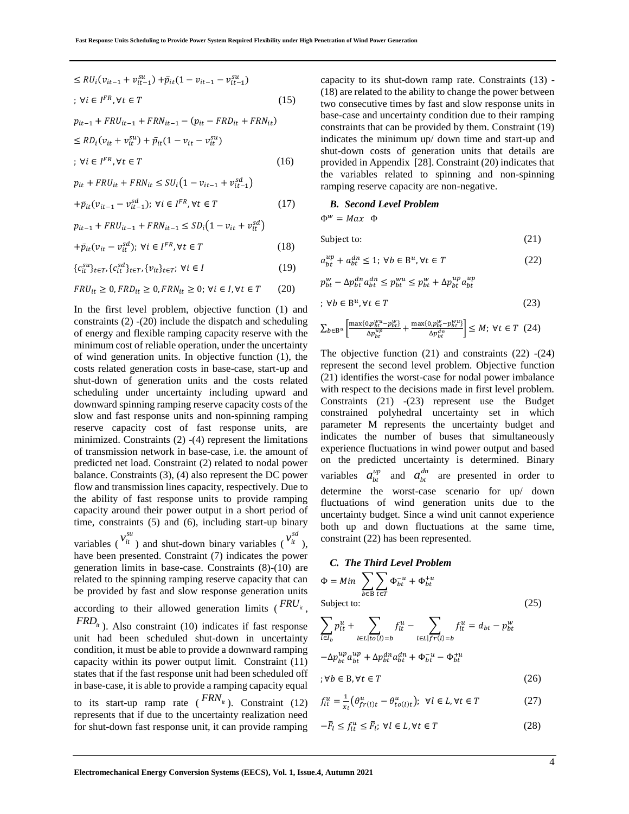$$
\leq R U_i (v_{it-1} + v_{it-1}^{su}) + \bar{p}_{it} (1 - v_{it-1} - v_{it-1}^{su})
$$
  
\n
$$
\forall i \in I^{FR}, \forall t \in T
$$
 (15)

$$
p_{it-1} + FRU_{it-1} + FRN_{it-1} - (p_{it} - FRD_{it} + FRN_{it})
$$
  
\n
$$
\leq RD_i(v_{it} + v_{it}^{su}) + \bar{p}_{it}(1 - v_{it} - v_{it}^{su})
$$
  
\n
$$
\forall i \in I^{FR}, \forall t \in T
$$
 (16)

$$
p_{it} + FRU_{it} + FRN_{it} \leq SU_i(1 - v_{it-1} + v_{it-1}^{sd})
$$

$$
+\bar{p}_{it}(v_{it-1}-v_{it-1}^{sd});\ \forall i\in I^{FR},\forall t\in T\tag{17}
$$

$$
p_{it-1} + FRU_{it-1} + FRN_{it-1} \le SD_i(1 - v_{it} + v_{it}^{sd})
$$

$$
+\bar{p}_{it}(v_{it} - v_{it}^{sd}); \forall i \in I^{FR}, \forall t \in T
$$
\n(18)

$$
\{c_{it}^{su}\}_{t \in T}, \{c_{it}^{sd}\}_{t \in T}, \{v_{it}\}_{t \in T}; \forall i \in I
$$
 (19)

$$
FRU_{it} \ge 0, FRD_{it} \ge 0, FRN_{it} \ge 0; \forall i \in I, \forall t \in T \qquad (20)
$$

In the first level problem, objective function (1) and constraints (2) -(20) include the dispatch and scheduling of energy and flexible ramping capacity reserve with the minimum cost of reliable operation, under the uncertainty of wind generation units. In objective function (1), the costs related generation costs in base-case, start-up and shut-down of generation units and the costs related scheduling under uncertainty including upward and downward spinning ramping reserve capacity costs of the slow and fast response units and non-spinning ramping reserve capacity cost of fast response units, are minimized. Constraints (2) -(4) represent the limitations of transmission network in base-case, i.e. the amount of predicted net load. Constraint (2) related to nodal power balance. Constraints (3), (4) also represent the DC power flow and transmission lines capacity, respectively. Due to the ability of fast response units to provide ramping capacity around their power output in a short period of time, constraints (5) and (6), including start-up binary variables ( $v_i^{su}$ ) and shut-down binary variables ( $v_i^{sd}$ ), have been presented. Constraint (7) indicates the power generation limits in base-case. Constraints (8)-(10) are related to the spinning ramping reserve capacity that can be provided by fast and slow response generation units

according to their allowed generation limits ( $\frac{FRU_i}{m}$ ,

*FRD*<sup>*it*</sup></sup>). Also constraint (10) indicates if fast response unit had been scheduled shut-down in uncertainty condition, it must be able to provide a downward ramping capacity within its power output limit. Constraint (11) states that if the fast response unit had been scheduled off in base-case, it is able to provide a ramping capacity equal

to its start-up ramp rate  $(FRN_{it})$ . Constraint (12) represents that if due to the uncertainty realization need for shut-down fast response unit, it can provide ramping

capacity to its shut-down ramp rate. Constraints (13) - (18) are related to the ability to change the power between two consecutive times by fast and slow response units in base-case and uncertainty condition due to their ramping constraints that can be provided by them. Constraint (19) indicates the minimum up/ down time and start-up and shut-down costs of generation units that details are provided in Appendix [28]. Constraint (20) indicates that the variables related to spinning and non-spinning ramping reserve capacity are non-negative.

#### *B. Second Level Problem*

 $\Phi^w = Max \Phi$ 

Subject to: (21)

$$
a_{bt}^{up} + a_{bt}^{dn} \le 1; \ \forall b \in \mathcal{B}^u, \forall t \in T
$$
 (22)

$$
p_{bt}^w - \Delta p_{bt}^{dn} a_{bt}^{dn} \le p_{bt}^{wu} \le p_{bt}^w + \Delta p_{bt}^{up} a_{bt}^{up}
$$

$$
; \forall b \in \mathbb{B}^u, \forall t \in T
$$
 (23)

$$
\sum_{b \in B^u} \left[ \frac{\max\{0, p_{bt}^{wu} - p_{bt}^w\}}{\Delta p_{bt}^{up}} + \frac{\max\{0, p_{bt}^w - p_{bt}^{wu}\}}{\Delta p_{bt}^{dn}} \right] \le M; \ \forall t \in T \ (24)
$$

The objective function (21) and constraints (22) -(24) represent the second level problem. Objective function (21) identifies the worst-case for nodal power imbalance with respect to the decisions made in first level problem. Constraints (21) -(23) represent use the Budget constrained polyhedral uncertainty set in which parameter M represents the uncertainty budget and indicates the number of buses that simultaneously experience fluctuations in wind power output and based on the predicted uncertainty is determined. Binary variables  $a_{bt}^{up}$  and  $a_{bt}^{dn}$  are presented in order to determine the worst-case scenario for up/ down fluctuations of wind generation units due to the uncertainty budget. Since a wind unit cannot experience both up and down fluctuations at the same time, constraint (22) has been represented.

**C. The Third Level Problem**  
\n
$$
\Phi = Min \sum_{b \in B} \sum_{t \in T} \Phi_{bt}^{-u} + \Phi_{bt}^{+u}
$$
\nSubject to: (25)

$$
\sum_{i \in I_b} p_{it}^u + \sum_{l \in L | to (l) = b} f_{it}^u - \sum_{l \in L | f r(l) = b} f_{it}^u = d_{bt} - p_{bt}^w
$$

$$
-\Delta p_{bt}^{up} a_{bt}^{up} + \Delta p_{bt}^{dn} a_{bt}^{dn} + \Phi_{bt}^{-u} - \Phi_{bt}^{+u}
$$

$$
;\forall b \in \mathcal{B}, \forall t \in T
$$
\n
$$
(26)
$$

$$
f_{lt}^{u} = \frac{1}{x_l} \left( \theta_{fr(l)t}^{u} - \theta_{to(l)t}^{u} \right); \ \forall l \in L, \forall t \in T
$$
 (27)

$$
-\bar{F}_l \le f_{lt}^u \le \bar{F}_l; \ \forall l \in L, \forall t \in T \tag{28}
$$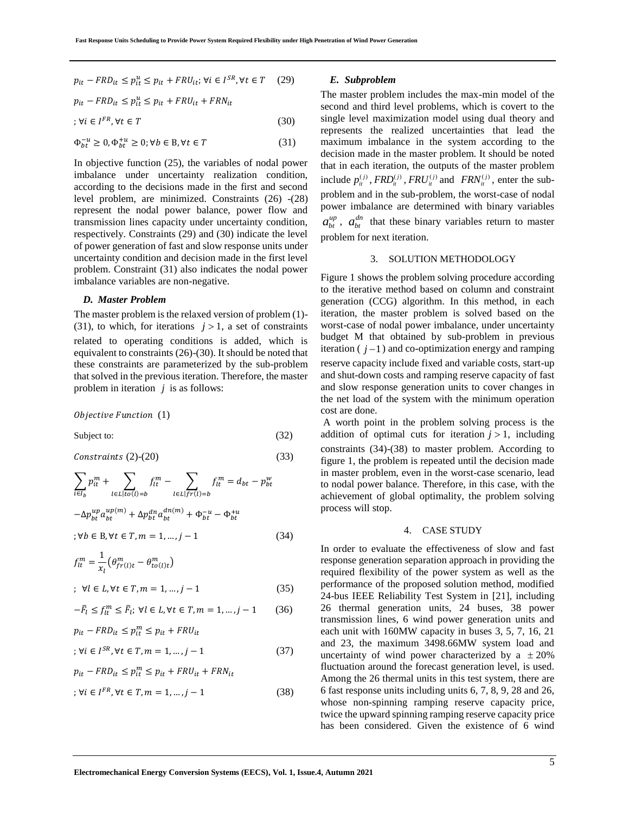$$
p_{it} - FRD_{it} \le p_{it}^u \le p_{it} + FRU_{it}; \forall i \in I^{SR}, \forall t \in T \quad (29)
$$

$$
p_{it} - FRD_{it} \le p_{it}^{u} \le p_{it} + FRU_{it} + FRN_{it}
$$

$$
; \forall i \in I^{FR}, \forall t \in T
$$
\n
$$
(30)
$$

 $\Phi_{bt}^{-u} \ge 0, \Phi_{bt}^{+u} \ge 0; \forall b \in \mathbb{B}, \forall t \in T$  (31)

In objective function (25), the variables of nodal power imbalance under uncertainty realization condition, according to the decisions made in the first and second level problem, are minimized. Constraints (26) -(28) represent the nodal power balance, power flow and transmission lines capacity under uncertainty condition, respectively. Constraints (29) and (30) indicate the level of power generation of fast and slow response units under uncertainty condition and decision made in the first level problem. Constraint (31) also indicates the nodal power imbalance variables are non-negative.

### *D. Master Problem*

The master problem is the relaxed version of problem (1)- (31), to which, for iterations  $j > 1$ , a set of constraints related to operating conditions is added, which is equivalent to constraints (26)-(30). It should be noted that these constraints are parameterized by the sub-problem that solved in the previous iteration. Therefore, the master problem in iteration *j* is as follows:

Objective Function (1)

Subject to: (32)

$$
Constraints (2)-(20) \tag{33}
$$

$$
\sum_{i \in I_b} p_{it}^m + \sum_{l \in L | to (l) = b} f_{lt}^m - \sum_{l \in L | fr(l) = b} f_{lt}^m = d_{bt} - p_{bt}^w
$$

$$
-\Delta p_{bt}^{up} a_{bt}^{up(m)} + \Delta p_{bt}^{dn} a_{bt}^{dn(m)} + \Phi_{bt}^{-u} - \Phi_{bt}^{+u}
$$

$$
\forall b \in B, \forall t \in T, m = 1, ..., j - 1
$$
(34)

$$
f_{tt}^{m} = \frac{1}{x_l} \left( \theta_{rr(l)t}^{m} - \theta_{to(l)t}^{m} \right)
$$
  
:  $\forall l \in I, \forall t \in T, m = 1, ..., i - 1$  (35)

$$
y \in L, \forall t \in T, m = 1, ..., j \quad 1 \tag{33}
$$

$$
-\overline{F}_l \le f_{lt}^m \le \overline{F}_l; \ \forall l \in L, \forall t \in T, m = 1, \dots, j - 1 \tag{36}
$$

$$
p_{it} - FRD_{it} \le p_{it}^{m} \le p_{it} + FRU_{it}
$$
  

$$
\forall i \in I^{SR}, \forall t \in T, m = 1, ..., j - 1
$$
 (37)

$$
p_{it} - FRD_{it} \le p_{it}^{m} \le p_{it} + FRU_{it} + FRN_{it}
$$
  

$$
; \forall i \in I^{FR}, \forall t \in T, m = 1, ..., j - 1
$$
 (38)

### *E. Subproblem*

The master problem includes the max-min model of the second and third level problems, which is covert to the single level maximization model using dual theory and represents the realized uncertainties that lead the maximum imbalance in the system according to the decision made in the master problem. It should be noted that in each iteration, the outputs of the master problem include  $p_{it}^{(j)}$ ,  $FRD_{it}^{(j)}$ ,  $FRU_{it}^{(j)}$  and  $FRN_{it}^{(j)}$ , enter the subproblem and in the sub-problem, the worst-case of nodal power imbalance are determined with binary variables  $a_{bt}^{up}$ ,  $a_{bt}^{dn}$  that these binary variables return to master problem for next iteration.

### 3. SOLUTION METHODOLOGY

Figure 1 shows the problem solving procedure according to the iterative method based on column and constraint generation (CCG) algorithm. In this method, in each iteration, the master problem is solved based on the worst-case of nodal power imbalance, under uncertainty budget M that obtained by sub-problem in previous iteration  $(j-1)$  and co-optimization energy and ramping reserve capacity include fixed and variable costs, start-up and shut-down costs and ramping reserve capacity of fast and slow response generation units to cover changes in the net load of the system with the minimum operation cost are done.

A worth point in the problem solving process is the addition of optimal cuts for iteration  $j > 1$ , including constraints (34)-(38) to master problem. According to figure 1, the problem is repeated until the decision made in master problem, even in the worst-case scenario, lead to nodal power balance. Therefore, in this case, with the achievement of global optimality, the problem solving process will stop.

#### 4. CASE STUDY

In order to evaluate the effectiveness of slow and fast response generation separation approach in providing the required flexibility of the power system as well as the performance of the proposed solution method, modified 24-bus IEEE Reliability Test System in [21], including 26 thermal generation units, 24 buses, 38 power transmission lines, 6 wind power generation units and each unit with 160MW capacity in buses 3, 5, 7, 16, 21 and 23, the maximum 3498.66MW system load and uncertainty of wind power characterized by  $a \pm 20\%$ fluctuation around the forecast generation level, is used. Among the 26 thermal units in this test system, there are 6 fast response units including units 6, 7, 8, 9, 28 and 26, whose non-spinning ramping reserve capacity price, twice the upward spinning ramping reserve capacity price has been considered. Given the existence of 6 wind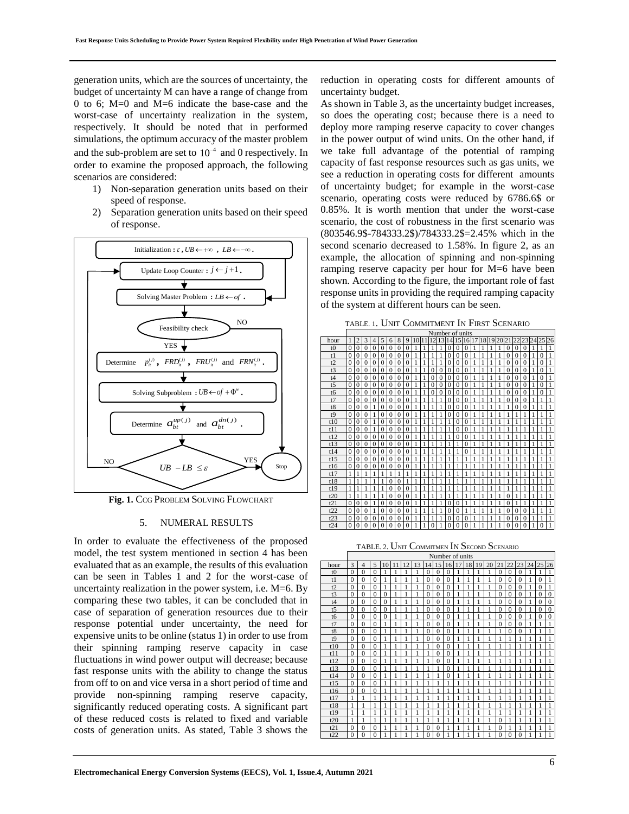generation units, which are the sources of uncertainty, the budget of uncertainty M can have a range of change from 0 to 6; M=0 and M=6 indicate the base-case and the worst-case of uncertainty realization in the system, respectively. It should be noted that in performed simulations, the optimum accuracy of the master problem and the sub-problem are set to  $10^{-4}$  and 0 respectively. In order to examine the proposed approach, the following scenarios are considered:

- 1) Non-separation generation units based on their speed of response.
- 2) Separation generation units based on their speed of response.



**Fig. 1.** CCG PROBLEM SOLVING FLOWCHART

#### 5. NUMERAL RESULTS

In order to evaluate the effectiveness of the proposed model, the test system mentioned in section 4 has been evaluated that as an example, the results of this evaluation can be seen in Tables 1 and 2 for the worst-case of uncertainty realization in the power system, i.e.  $M=6$ . By comparing these two tables, it can be concluded that in case of separation of generation resources due to their response potential under uncertainty, the need for expensive units to be online (status 1) in order to use from their spinning ramping reserve capacity in case fluctuations in wind power output will decrease; because fast response units with the ability to change the status from off to on and vice versa in a short period of time and provide non-spinning ramping reserve capacity, significantly reduced operating costs. A significant part of these reduced costs is related to fixed and variable costs of generation units. As stated, Table 3 shows the

reduction in operating costs for different amounts of uncertainty budget.

As shown in Table 3, as the uncertainty budget increases, so does the operating cost; because there is a need to deploy more ramping reserve capacity to cover changes in the power output of wind units. On the other hand, if we take full advantage of the potential of ramping capacity of fast response resources such as gas units, we see a reduction in operating costs for different amounts of uncertainty budget; for example in the worst-case scenario, operating costs were reduced by 6786.6\$ or 0.85%. It is worth mention that under the worst-case scenario, the cost of robustness in the first scenario was (803546.9\$-784333.2\$)/784333.2\$=2.45% which in the second scenario decreased to 1.58%. In figure 2, as an example, the allocation of spinning and non-spinning ramping reserve capacity per hour for M=6 have been shown. According to the figure, the important role of fast response units in providing the required ramping capacity of the system at different hours can be seen.

TABLE. 1. UNIT COMMITMENT I<sup>N</sup> FIRST SCENARIO

|                |              |                |              |                |          |                |                |          |   |   | Number of units |          |                |              |              |    |    |    |    |          |              |          |          |    |
|----------------|--------------|----------------|--------------|----------------|----------|----------------|----------------|----------|---|---|-----------------|----------|----------------|--------------|--------------|----|----|----|----|----------|--------------|----------|----------|----|
| hour           |              | $\mathfrak{D}$ | 3            | $\overline{4}$ | 5        | 6              | 8              | 9        |   |   | C               | 13       | $\overline{4}$ | 5            | 16           | 17 | 18 | 19 | 20 | 2        | 22           |          | 25       | 26 |
| t0             | $\mathbf{0}$ | $\mathbf{0}$   | $\mathbf{0}$ | $\mathbf{0}$   | 0        | $\mathbf{0}$   | $\mathbf{0}$   | $\Omega$ |   | 1 |                 |          | 0              | $\mathbf{0}$ | $\mathbf{0}$ |    |    |    |    | $\theta$ | $\theta$     |          |          |    |
| t1             | $\theta$     | $\theta$       | $\Omega$     | $\Omega$       | $\Omega$ | $\Omega$       | $\theta$       | $\Omega$ |   | 1 |                 | 1        | $\Omega$       | $\Omega$     | $\Omega$     |    |    |    |    | $\Omega$ | $\theta$     | 0        | $\Omega$ |    |
| t2             | $\theta$     | $\Omega$       | $\Omega$     | $\theta$       | $\Omega$ | $\overline{0}$ | $\theta$       | $\theta$ |   | 1 |                 | 1        | $\theta$       | $\theta$     | $\Omega$     |    |    |    |    | $\theta$ | $\Omega$     | $\theta$ | $\theta$ | 1  |
| t3             | $\Omega$     | $\theta$       | $\theta$     | $\Omega$       | $\Omega$ | $\theta$       | $\theta$       | $\theta$ |   |   | $\Omega$        | $\Omega$ | $\Omega$       | $\theta$     | $\Omega$     |    |    |    |    | $\Omega$ | $\Omega$     | 0        | $\theta$ | 1  |
| t4             | $\theta$     | $\theta$       | $\theta$     | $\Omega$       | 0        | $\theta$       | $\theta$       | $\theta$ |   | 1 | $\Omega$        | $\theta$ | $\Omega$       | $\theta$     | $\Omega$     |    |    |    |    | $\Omega$ | $\Omega$     | 0        | $\Omega$ |    |
| t <sub>5</sub> | $\Omega$     | $\theta$       | $\Omega$     | $\Omega$       | $\Omega$ | $\theta$       | $\theta$       | $\Omega$ |   | 1 | $\Omega$        | $\theta$ | $\theta$       | $\Omega$     | $\Omega$     |    |    |    |    | $\Omega$ | $\theta$     | 0        | $\theta$ | 1  |
| t6             | $\Omega$     | $\Omega$       | $\Omega$     | $\Omega$       | $\Omega$ | $\Omega$       | $\theta$       | $\Omega$ | 1 | 1 | $\Omega$        | $\Omega$ | $\theta$       | $\theta$     | $\Omega$     | 1  |    |    |    | $\theta$ | $\Omega$     | $\theta$ | $\theta$ | 1  |
| t7             | $\theta$     | $\Omega$       | $\Omega$     | $\Omega$       | $\Omega$ | $\Omega$       | $\theta$       | $\Omega$ |   |   |                 | 1        | $\theta$       | $\theta$     | $\theta$     |    |    |    |    | $\Omega$ | $\Omega$     | $\Omega$ | 1        | 1  |
| t8             | $\theta$     | $\theta$       | $\Omega$     |                | $\Omega$ | $\Omega$       | $\theta$       | $\theta$ |   |   |                 |          | 0              | $\Omega$     | $\theta$     |    |    |    |    |          | $\Omega$     |          |          |    |
| t9             | $\Omega$     | $\Omega$       | $\Omega$     | 1              | $\Omega$ | $\Omega$       | $\theta$       | $\Omega$ |   |   |                 |          | 0              | $\Omega$     | $\Omega$     |    |    |    |    |          |              |          |          |    |
| t10            | $\theta$     | $\theta$       | $\Omega$     | 1              | $\Omega$ | $\theta$       | $\theta$       | $\theta$ |   | 1 |                 |          |                | $\theta$     | $\Omega$     |    |    |    |    |          |              |          | 1        | 1  |
| t11            | $\Omega$     | $\theta$       | $\Omega$     | 1              | $\Omega$ | $\theta$       | $\theta$       | $\Omega$ |   |   |                 |          |                | $\theta$     | $\Omega$     |    |    |    |    |          |              |          |          | 1  |
| t12            | $\theta$     | $\theta$       | $\Omega$     | $\mathbf{0}$   | $\Omega$ | $\mathbf{0}$   | $\mathbf{0}$   | $\Omega$ |   | 1 |                 |          |                | $\Omega$     | $\theta$     |    |    |    |    |          |              |          |          |    |
| t13            | $\Omega$     | $\Omega$       | $\Omega$     | $\Omega$       | 0        | $\Omega$       | $\Omega$       | $\Omega$ |   |   |                 |          |                |              | $\Omega$     |    |    |    |    |          |              |          |          |    |
| t14            | $\theta$     | $\theta$       | $\Omega$     | $\Omega$       | $\Omega$ | $\theta$       | $\theta$       | $\theta$ |   |   |                 |          |                |              | $\Omega$     |    |    |    |    |          |              |          |          |    |
| t15            | $\Omega$     | $\theta$       | $\Omega$     | $\Omega$       | $\Omega$ | $\Omega$       | $\theta$       | $\theta$ |   |   |                 |          |                |              |              |    |    |    |    |          |              |          | 1        | 1  |
| t16            | $\mathbf{0}$ | $\mathbf{0}$   | $\Omega$     | $\mathbf{0}$   | $\Omega$ | 0              | $\overline{0}$ | $\Omega$ |   |   |                 |          |                |              |              |    |    |    |    |          |              |          |          |    |
| t17            | $\mathbf{1}$ |                |              |                |          | 1              | 1              |          |   |   |                 |          |                |              |              |    |    |    |    |          |              |          |          |    |
| t18            | 1            |                |              |                |          | $\Omega$       | $\Omega$       |          |   |   |                 |          |                |              |              |    |    |    |    |          |              |          |          |    |
| t19            | 1            |                |              |                |          | $\Omega$       | $\Omega$       | $\Omega$ |   |   |                 |          |                |              |              |    |    |    |    |          |              |          |          |    |
| t20            | 1            |                |              |                |          | $\Omega$       | $\theta$       | $\theta$ |   | 1 |                 |          | 1              | 1            |              |    |    |    |    | 0        |              |          | 1        |    |
| t21            | $\Omega$     | $\theta$       | $\Omega$     |                | $\Omega$ | $\Omega$       | $\theta$       | $\Omega$ |   |   |                 |          | 0              | $\Omega$     |              |    |    |    |    | $\Omega$ |              |          |          |    |
| t22            | $\theta$     | $\theta$       | $\Omega$     |                | $\theta$ | $\theta$       | $\theta$       | $\theta$ |   |   |                 |          | 0              | $\theta$     |              |    |    |    |    | $\Omega$ | $\theta$     | 0        |          |    |
| t23            | $\Omega$     | $\Omega$       | $\Omega$     | $\Omega$       | $\Omega$ | $\Omega$       | $\Omega$       | $\Omega$ |   |   |                 |          | n              | $\Omega$     | $\Omega$     |    |    |    |    | $\Omega$ | $\Omega$     |          |          |    |
| t24            | $\theta$     | $\mathbf{0}$   | $\mathbf{0}$ | $\mathbf{0}$   | $\Omega$ | 0              | $\mathbf{0}$   | $\theta$ |   |   |                 |          | 0              | $\theta$     | $\Omega$     |    |    |    |    | 0        | $\mathbf{0}$ |          | $\theta$ |    |

TABLE. <sup>2</sup>. UNIT COMMITMEN I<sup>N</sup> SECOND SCENARIO

|                |              | Number of units |                          |          |    |               |    |                |          |          |    |    |    |    |          |                |          |    |          |                |
|----------------|--------------|-----------------|--------------------------|----------|----|---------------|----|----------------|----------|----------|----|----|----|----|----------|----------------|----------|----|----------|----------------|
| hour           | $\mathbf{3}$ | $\overline{4}$  | $\overline{\phantom{0}}$ | 10       | 11 | $\mathcal{D}$ | 13 | $\overline{4}$ | 15       | 6<br>1   | 17 | 18 | 19 | 20 | 21       | 22             | 23       | 24 | 25       | 26             |
| t <sub>0</sub> | $\Omega$     | $\theta$        | $\Omega$                 |          | 1  |               | 1  | $\theta$       | $\Omega$ | $\Omega$ | 1  | 1  |    |    | $\Omega$ | $\Omega$       | $\Omega$ |    | 1        | 1              |
| t1             | $\Omega$     | $\Omega$        | $\Omega$                 | 1        | 1  |               | 1  | $\theta$       | $\Omega$ | $\Omega$ | 1  | 1  |    |    | $\Omega$ | $\Omega$       | $\Omega$ |    | $\theta$ | 1              |
| t2             | $\Omega$     | $\theta$        | $\Omega$                 | 1        | 1  |               | 1  | $\theta$       | $\Omega$ | $\Omega$ | 1  |    |    |    | $\Omega$ | $\theta$       | $\Omega$ |    | $\theta$ | 1              |
| t3             | $\theta$     | $\theta$        | $\Omega$                 | $\theta$ | 1  | 1             | 1  | $\theta$       | $\Omega$ | $\theta$ | 1  |    |    |    | $\Omega$ | $\theta$       | $\theta$ |    | $\theta$ | $\theta$       |
| t4             | $\Omega$     | $\theta$        | $\Omega$                 | $\theta$ |    |               |    | $\Omega$       | $\Omega$ | $\Omega$ |    |    |    |    | $\Omega$ | $\theta$       | $\Omega$ |    | $\theta$ | $\theta$       |
| t <sub>5</sub> | $\theta$     | $\Omega$        | $\theta$                 | $\theta$ | 1  | 1             | 1  | $\theta$       | $\theta$ | $\theta$ | 1  |    |    |    | $\Omega$ | $\theta$       | $\theta$ |    | $\theta$ | $\theta$       |
| t6             | $\Omega$     | $\theta$        | $\Omega$                 | $\theta$ | 1  | 1             | 1  | $\theta$       | $\Omega$ | $\Omega$ | 1  | 1  |    |    | $\Omega$ | $\Omega$       | $\Omega$ |    | $\theta$ | $\overline{0}$ |
| t7             | $\theta$     | $\Omega$        | $\theta$                 | 1        | 1  | 1             | 1  | $\theta$       | $\Omega$ | $\theta$ | 1  | 1  | 1  |    | $\theta$ | $\theta$       | $\theta$ |    | 1        | 1              |
| t8             | $\theta$     | $\Omega$        | $\Omega$                 | 1        | 1  | 1             | 1  | $\mathbf{0}$   | $\Omega$ | $\Omega$ | 1  | 1  | 1  |    | 1        | $\overline{0}$ | $\theta$ |    | 1        | 1              |
| t <sub>9</sub> | $\Omega$     | $\Omega$        | $\Omega$                 | 1        | 1  | ١             | 1  | $\theta$       | $\Omega$ | $\theta$ | 1  | 1  |    |    |          |                |          |    |          | 1              |
| t10            | $\Omega$     | $\Omega$        | $\Omega$                 |          | 1  | ١             | ٢  | 1              | $\Omega$ | $\Omega$ | 1  | 1  |    |    |          |                |          |    |          | 1              |
| t11            | $\Omega$     | $\Omega$        | $\Omega$                 |          | 1  | 1             | 1  | 1              | $\Omega$ | $\Omega$ | 1  | 1  | Ì  |    | 1        |                |          |    |          | 1              |
| t12            | $\Omega$     | $\Omega$        | $\Omega$                 |          | 1  | 1             | 1  | 1              | $\Omega$ | $\Omega$ | 1  | 1  |    |    |          |                |          |    |          | 1              |
| t13            | $\Omega$     | $\theta$        | $\Omega$                 |          | 1  | 1             | 1  | 1              | 1        | $\Omega$ | 1  | 1  |    |    |          |                |          |    |          | 1              |
| t14            | $\Omega$     | $\theta$        | $\Omega$                 |          | 1  |               |    |                |          | $\Omega$ | 1  | 1  |    |    |          |                |          |    |          | 1              |
| t15            | $\Omega$     | $\theta$        | $\Omega$                 |          | 1  |               |    | 1              |          |          | 1  |    |    |    |          |                |          |    |          | 1              |
| t16            | $\theta$     | $\theta$        | $\theta$                 |          |    |               |    |                |          |          |    |    |    |    |          |                |          |    |          | 1              |
| t17            | 1            | 1               |                          |          | 1  |               |    | 1              |          |          |    |    |    |    |          |                |          |    |          | 1              |
| t18            | 1            |                 |                          |          |    |               |    |                |          |          |    |    |    |    |          |                |          |    |          | 1              |
| t19            | 1            |                 |                          |          |    |               |    |                |          |          |    |    |    |    |          |                |          |    |          | 1              |
| t20            | 1            | ٠               |                          |          | 1  | ٠             | ٢  | ĭ              |          |          | ٢  | 1  |    |    | $\Omega$ |                |          |    |          | 1              |
| t21            | $\Omega$     | $\theta$        | $\Omega$                 |          | 1  | 1             | 1  | $\Omega$       | $\Omega$ |          | 1  | 1  |    |    | $\Omega$ |                |          |    |          | 1              |
| t22            | $\Omega$     | $\Omega$        | $\Omega$                 |          |    |               |    | $\Omega$       | $\Omega$ |          |    |    |    |    | $\Omega$ | $\theta$       | $\Omega$ |    |          | 1              |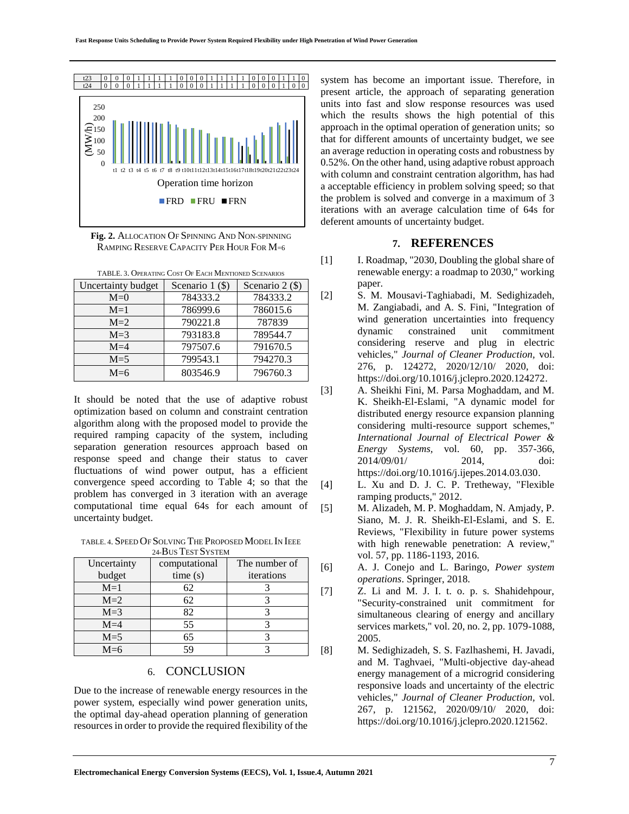

**Fig. 2.** ALLOCATION O<sup>F</sup> SPINNING AND NON-SPINNING RAMPING RESERVE CAPACITY PER HOUR FOR M=6

| TABLE, 3. OPERATING COST OF EACH MENTIONED SCENARIOS |                   |                 |  |  |  |  |  |  |
|------------------------------------------------------|-------------------|-----------------|--|--|--|--|--|--|
| Uncertainty budget                                   | Scenario $1$ (\$) | Scenario 2 (\$) |  |  |  |  |  |  |
| $M=0$                                                | 784333.2          | 784333.2        |  |  |  |  |  |  |
| $M=1$                                                | 786999.6          | 786015.6        |  |  |  |  |  |  |
| $M=2$                                                | 790221.8          | 787839          |  |  |  |  |  |  |
| $M=3$                                                | 793183.8          | 789544.7        |  |  |  |  |  |  |
| $M=4$                                                | 797507.6          | 791670.5        |  |  |  |  |  |  |
| $M = 5$                                              | 799543.1          | 794270.3        |  |  |  |  |  |  |
| $M=6$                                                | 803546.9          | 796760.3        |  |  |  |  |  |  |

It should be noted that the use of adaptive robust optimization based on column and constraint centration algorithm along with the proposed model to provide the required ramping capacity of the system, including separation generation resources approach based on response speed and change their status to caver fluctuations of wind power output, has a efficient convergence speed according to Table 4; so that the problem has converged in 3 iteration with an average computational time equal 64s for each amount of uncertainty budget.

TABLE 4. SPEED OF SOLVING THE PROPOSED MODEL IN IEEE 24-BUS TEST SYSTEM

| Uncertainty | computational | The number of |  |  |  |  |  |  |
|-------------|---------------|---------------|--|--|--|--|--|--|
| budget      | time(s)       | iterations    |  |  |  |  |  |  |
| $M=1$       | 62            |               |  |  |  |  |  |  |
| $M=2$       | 62            |               |  |  |  |  |  |  |
| $M=3$       | 82            |               |  |  |  |  |  |  |
| $M=4$       | 55            |               |  |  |  |  |  |  |
| $M = 5$     | 65            |               |  |  |  |  |  |  |
| $M=6$       |               |               |  |  |  |  |  |  |

## 6. CONCLUSION

Due to the increase of renewable energy resources in the power system, especially wind power generation units, the optimal day-ahead operation planning of generation resources in order to provide the required flexibility of the

system has become an important issue. Therefore, in present article, the approach of separating generation units into fast and slow response resources was used which the results shows the high potential of this approach in the optimal operation of generation units; so that for different amounts of uncertainty budget, we see an average reduction in operating costs and robustness by 0.52%. On the other hand, using adaptive robust approach with column and constraint centration algorithm, has had a acceptable efficiency in problem solving speed; so that the problem is solved and converge in a maximum of 3 iterations with an average calculation time of 64s for deferent amounts of uncertainty budget.

## **7. REFERENCES**

- [1] I. Roadmap, "2030, Doubling the global share of renewable energy: a roadmap to 2030," working paper.
- [2] S. M. Mousavi-Taghiabadi, M. Sedighizadeh, M. Zangiabadi, and A. S. Fini, "Integration of wind generation uncertainties into frequency dynamic constrained unit commitment considering reserve and plug in electric vehicles," *Journal of Cleaner Production,* vol. 276, p. 124272, 2020/12/10/ 2020, doi: https://doi.org/10.1016/j.jclepro.2020.124272.
- [3] A. Sheikhi Fini, M. Parsa Moghaddam, and M. K. Sheikh-El-Eslami, "A dynamic model for distributed energy resource expansion planning considering multi-resource support schemes," *International Journal of Electrical Power & Energy Systems,* vol. 60, pp. 357-366, 2014/09/01/ 2014, doi: https://doi.org/10.1016/j.ijepes.2014.03.030.
- [4] L. Xu and D. J. C. P. Tretheway, "Flexible ramping products," 2012.
- [5] M. Alizadeh, M. P. Moghaddam, N. Amjady, P. Siano, M. J. R. Sheikh-El-Eslami, and S. E. Reviews, "Flexibility in future power systems with high renewable penetration: A review," vol. 57, pp. 1186-1193, 2016.
- [6] A. J. Conejo and L. Baringo, *Power system operations*. Springer, 2018.
- [7] Z. Li and M. J. I. t. o. p. s. Shahidehpour, "Security-constrained unit commitment for simultaneous clearing of energy and ancillary services markets," vol. 20, no. 2, pp. 1079-1088, 2005.
- [8] M. Sedighizadeh, S. S. Fazlhashemi, H. Javadi, and M. Taghvaei, "Multi-objective day-ahead energy management of a microgrid considering responsive loads and uncertainty of the electric vehicles," *Journal of Cleaner Production,* vol. 267, p. 121562, 2020/09/10/ 2020, doi: https://doi.org/10.1016/j.jclepro.2020.121562.